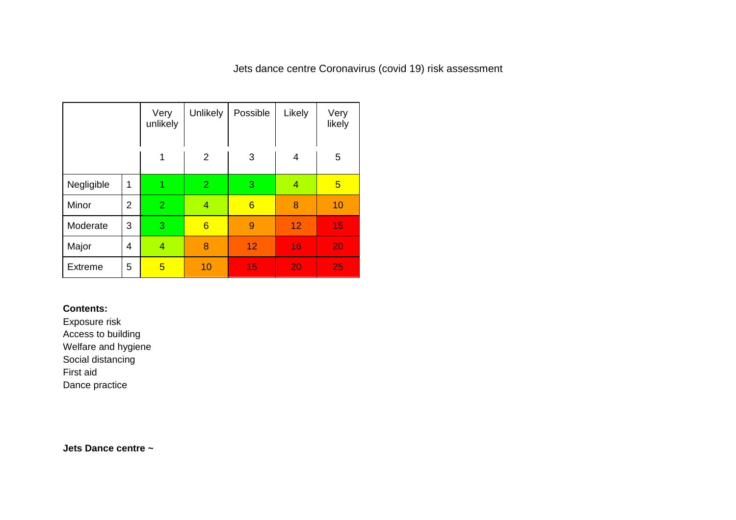## Jets dance centre Coronavirus (covid 19) risk assessment

|                |                | Very<br>unlikely | Unlikely        | Possible | Likely | Very<br>likely |
|----------------|----------------|------------------|-----------------|----------|--------|----------------|
|                |                | 1                | $\overline{2}$  | 3        | 4      | 5              |
| Negligible     | 1              |                  | $\overline{2}$  | 3        | 4      | $\overline{5}$ |
| Minor          | $\overline{2}$ | $\overline{2}$   | $\overline{4}$  | 6        | 8      | 10             |
| Moderate       | 3              | 3                | $6\phantom{1}6$ | 9        | 12     | 15             |
| Major          | 4              | 4                | 8               | 12       | 16     | 20             |
| <b>Extreme</b> | 5              | 5                | 10              | 15       | 20     | 25             |

## **Contents:**

Exposure risk Access to building Welfare and hygiene

Social distancing

First aid

Dance practice

**Jets Dance centre ~**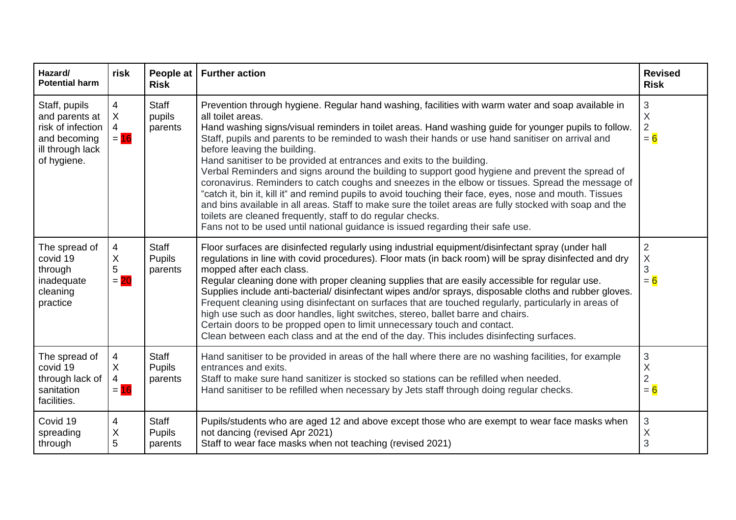| Hazard/<br><b>Potential harm</b>                                                                        | risk                                              | People at<br><b>Risk</b>                 | <b>Further action</b>                                                                                                                                                                                                                                                                                                                                                                                                                                                                                                                                                                                                                                                                                                                                                                                                                                                                                                                                                                                                              | <b>Revised</b><br><b>Risk</b>                  |
|---------------------------------------------------------------------------------------------------------|---------------------------------------------------|------------------------------------------|------------------------------------------------------------------------------------------------------------------------------------------------------------------------------------------------------------------------------------------------------------------------------------------------------------------------------------------------------------------------------------------------------------------------------------------------------------------------------------------------------------------------------------------------------------------------------------------------------------------------------------------------------------------------------------------------------------------------------------------------------------------------------------------------------------------------------------------------------------------------------------------------------------------------------------------------------------------------------------------------------------------------------------|------------------------------------------------|
| Staff, pupils<br>and parents at<br>risk of infection<br>and becoming<br>ill through lack<br>of hygiene. | 4<br>$\mathsf X$<br>$\overline{4}$<br>$= 16$      | <b>Staff</b><br>pupils<br>parents        | Prevention through hygiene. Regular hand washing, facilities with warm water and soap available in<br>all toilet areas.<br>Hand washing signs/visual reminders in toilet areas. Hand washing guide for younger pupils to follow.<br>Staff, pupils and parents to be reminded to wash their hands or use hand sanitiser on arrival and<br>before leaving the building.<br>Hand sanitiser to be provided at entrances and exits to the building.<br>Verbal Reminders and signs around the building to support good hygiene and prevent the spread of<br>coronavirus. Reminders to catch coughs and sneezes in the elbow or tissues. Spread the message of<br>"catch it, bin it, kill it" and remind pupils to avoid touching their face, eyes, nose and mouth. Tissues<br>and bins available in all areas. Staff to make sure the toilet areas are fully stocked with soap and the<br>toilets are cleaned frequently, staff to do regular checks.<br>Fans not to be used until national guidance is issued regarding their safe use. | 3<br>$\sf X$<br>$\overline{2}$<br>$= 6$        |
| The spread of<br>covid 19<br>through<br>inadequate<br>cleaning<br>practice                              | 4<br>$\mathsf X$<br>5<br>$= 20$                   | Staff<br><b>Pupils</b><br>parents        | Floor surfaces are disinfected regularly using industrial equipment/disinfectant spray (under hall<br>regulations in line with covid procedures). Floor mats (in back room) will be spray disinfected and dry<br>mopped after each class.<br>Regular cleaning done with proper cleaning supplies that are easily accessible for regular use.<br>Supplies include anti-bacterial/ disinfectant wipes and/or sprays, disposable cloths and rubber gloves.<br>Frequent cleaning using disinfectant on surfaces that are touched regularly, particularly in areas of<br>high use such as door handles, light switches, stereo, ballet barre and chairs.<br>Certain doors to be propped open to limit unnecessary touch and contact.<br>Clean between each class and at the end of the day. This includes disinfecting surfaces.                                                                                                                                                                                                        | $\overline{2}$<br>X<br>3<br>$= 6$              |
| The spread of<br>covid 19<br>through lack of<br>sanitation<br>facilities.                               | 4<br>$\boldsymbol{X}$<br>$\overline{4}$<br>$= 16$ | Staff<br><b>Pupils</b><br>parents        | Hand sanitiser to be provided in areas of the hall where there are no washing facilities, for example<br>entrances and exits.<br>Staff to make sure hand sanitizer is stocked so stations can be refilled when needed.<br>Hand sanitiser to be refilled when necessary by Jets staff through doing regular checks.                                                                                                                                                                                                                                                                                                                                                                                                                                                                                                                                                                                                                                                                                                                 | $\mathfrak{B}$<br>X<br>$\overline{2}$<br>$= 6$ |
| Covid 19<br>spreading<br>through                                                                        | 4<br>X<br>5                                       | <b>Staff</b><br><b>Pupils</b><br>parents | Pupils/students who are aged 12 and above except those who are exempt to wear face masks when<br>not dancing (revised Apr 2021)<br>Staff to wear face masks when not teaching (revised 2021)                                                                                                                                                                                                                                                                                                                                                                                                                                                                                                                                                                                                                                                                                                                                                                                                                                       | 3<br>X<br>3                                    |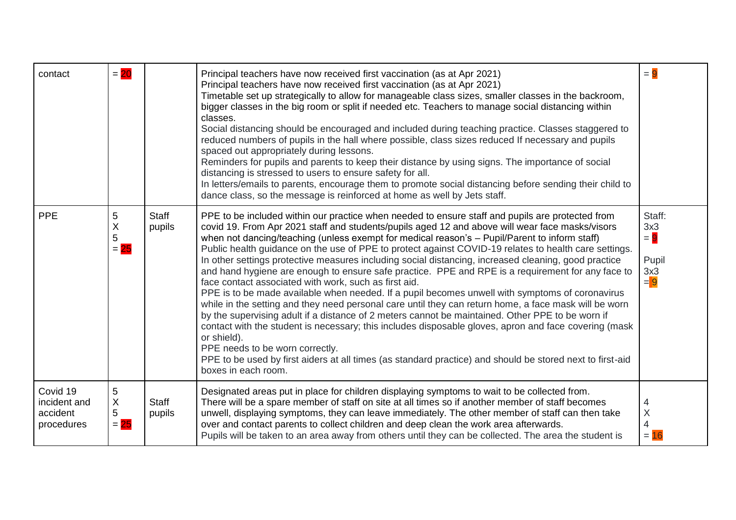| contact                                            | $= 20$                                        |                        | Principal teachers have now received first vaccination (as at Apr 2021)<br>Principal teachers have now received first vaccination (as at Apr 2021)<br>Timetable set up strategically to allow for manageable class sizes, smaller classes in the backroom,<br>bigger classes in the big room or split if needed etc. Teachers to manage social distancing within<br>classes.<br>Social distancing should be encouraged and included during teaching practice. Classes staggered to<br>reduced numbers of pupils in the hall where possible, class sizes reduced If necessary and pupils<br>spaced out appropriately during lessons.<br>Reminders for pupils and parents to keep their distance by using signs. The importance of social<br>distancing is stressed to users to ensure safety for all.<br>In letters/emails to parents, encourage them to promote social distancing before sending their child to<br>dance class, so the message is reinforced at home as well by Jets staff.                                                                                                                                                                                                                                                                                                        | $= 9$                                           |
|----------------------------------------------------|-----------------------------------------------|------------------------|----------------------------------------------------------------------------------------------------------------------------------------------------------------------------------------------------------------------------------------------------------------------------------------------------------------------------------------------------------------------------------------------------------------------------------------------------------------------------------------------------------------------------------------------------------------------------------------------------------------------------------------------------------------------------------------------------------------------------------------------------------------------------------------------------------------------------------------------------------------------------------------------------------------------------------------------------------------------------------------------------------------------------------------------------------------------------------------------------------------------------------------------------------------------------------------------------------------------------------------------------------------------------------------------------|-------------------------------------------------|
| <b>PPE</b>                                         | 5<br>$\sf X$<br>$\mathbf 5$<br>$= 25$         | <b>Staff</b><br>pupils | PPE to be included within our practice when needed to ensure staff and pupils are protected from<br>covid 19. From Apr 2021 staff and students/pupils aged 12 and above will wear face masks/visors<br>when not dancing/teaching (unless exempt for medical reason's - Pupil/Parent to inform staff)<br>Public health guidance on the use of PPE to protect against COVID-19 relates to health care settings.<br>In other settings protective measures including social distancing, increased cleaning, good practice<br>and hand hygiene are enough to ensure safe practice. PPE and RPE is a requirement for any face to<br>face contact associated with work, such as first aid.<br>PPE is to be made available when needed. If a pupil becomes unwell with symptoms of coronavirus<br>while in the setting and they need personal care until they can return home, a face mask will be worn<br>by the supervising adult if a distance of 2 meters cannot be maintained. Other PPE to be worn if<br>contact with the student is necessary; this includes disposable gloves, apron and face covering (mask<br>or shield).<br>PPE needs to be worn correctly.<br>PPE to be used by first aiders at all times (as standard practice) and should be stored next to first-aid<br>boxes in each room. | Staff:<br>3x3<br>$= 9$<br>Pupil<br>3x3<br>$= 9$ |
| Covid 19<br>incident and<br>accident<br>procedures | 5<br>$\boldsymbol{\mathsf{X}}$<br>5<br>$= 25$ | <b>Staff</b><br>pupils | Designated areas put in place for children displaying symptoms to wait to be collected from.<br>There will be a spare member of staff on site at all times so if another member of staff becomes<br>unwell, displaying symptoms, they can leave immediately. The other member of staff can then take<br>over and contact parents to collect children and deep clean the work area afterwards.<br>Pupils will be taken to an area away from others until they can be collected. The area the student is                                                                                                                                                                                                                                                                                                                                                                                                                                                                                                                                                                                                                                                                                                                                                                                             | 4<br>$\sf X$<br>$\overline{4}$<br>$= 16$        |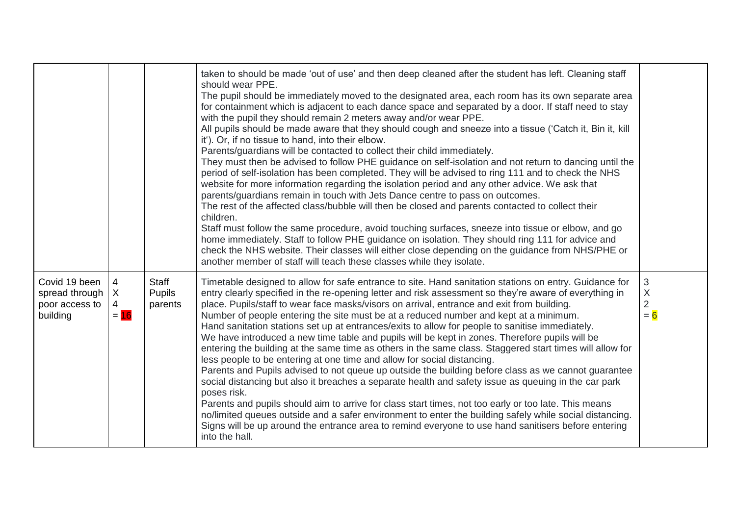|                                                               |                                               |                                   | taken to should be made 'out of use' and then deep cleaned after the student has left. Cleaning staff<br>should wear PPE.<br>The pupil should be immediately moved to the designated area, each room has its own separate area<br>for containment which is adjacent to each dance space and separated by a door. If staff need to stay<br>with the pupil they should remain 2 meters away and/or wear PPE.<br>All pupils should be made aware that they should cough and sneeze into a tissue ('Catch it, Bin it, kill<br>it'). Or, if no tissue to hand, into their elbow.<br>Parents/guardians will be contacted to collect their child immediately.<br>They must then be advised to follow PHE guidance on self-isolation and not return to dancing until the<br>period of self-isolation has been completed. They will be advised to ring 111 and to check the NHS<br>website for more information regarding the isolation period and any other advice. We ask that<br>parents/guardians remain in touch with Jets Dance centre to pass on outcomes.<br>The rest of the affected class/bubble will then be closed and parents contacted to collect their<br>children.<br>Staff must follow the same procedure, avoid touching surfaces, sneeze into tissue or elbow, and go<br>home immediately. Staff to follow PHE guidance on isolation. They should ring 111 for advice and<br>check the NHS website. Their classes will either close depending on the guidance from NHS/PHE or<br>another member of staff will teach these classes while they isolate. |                                                      |
|---------------------------------------------------------------|-----------------------------------------------|-----------------------------------|-----------------------------------------------------------------------------------------------------------------------------------------------------------------------------------------------------------------------------------------------------------------------------------------------------------------------------------------------------------------------------------------------------------------------------------------------------------------------------------------------------------------------------------------------------------------------------------------------------------------------------------------------------------------------------------------------------------------------------------------------------------------------------------------------------------------------------------------------------------------------------------------------------------------------------------------------------------------------------------------------------------------------------------------------------------------------------------------------------------------------------------------------------------------------------------------------------------------------------------------------------------------------------------------------------------------------------------------------------------------------------------------------------------------------------------------------------------------------------------------------------------------------------------------------------------------|------------------------------------------------------|
| Covid 19 been<br>spread through<br>poor access to<br>building | 4<br>$\mathsf{X}$<br>$\overline{4}$<br>$= 16$ | Staff<br><b>Pupils</b><br>parents | Timetable designed to allow for safe entrance to site. Hand sanitation stations on entry. Guidance for<br>entry clearly specified in the re-opening letter and risk assessment so they're aware of everything in<br>place. Pupils/staff to wear face masks/visors on arrival, entrance and exit from building.<br>Number of people entering the site must be at a reduced number and kept at a minimum.<br>Hand sanitation stations set up at entrances/exits to allow for people to sanitise immediately.<br>We have introduced a new time table and pupils will be kept in zones. Therefore pupils will be<br>entering the building at the same time as others in the same class. Staggered start times will allow for<br>less people to be entering at one time and allow for social distancing.<br>Parents and Pupils advised to not queue up outside the building before class as we cannot guarantee<br>social distancing but also it breaches a separate health and safety issue as queuing in the car park<br>poses risk.<br>Parents and pupils should aim to arrive for class start times, not too early or too late. This means<br>no/limited queues outside and a safer environment to enter the building safely while social distancing.<br>Signs will be up around the entrance area to remind everyone to use hand sanitisers before entering<br>into the hall.                                                                                                                                                                                   | $\sqrt{3}$<br>$\mathsf X$<br>$\overline{2}$<br>$= 6$ |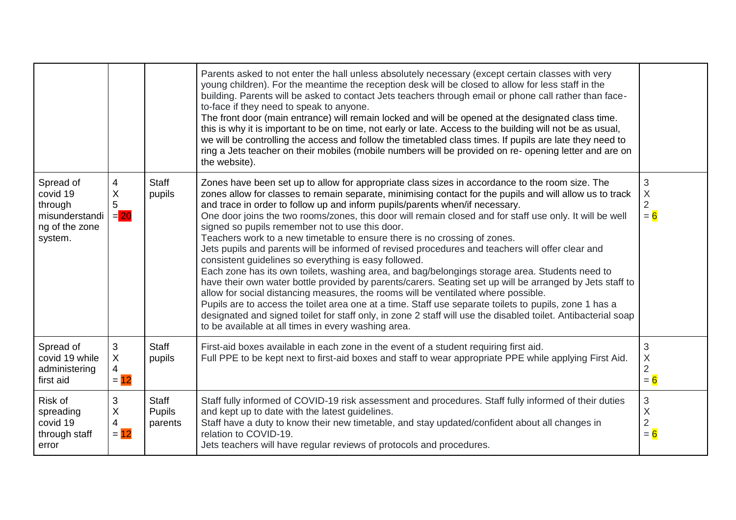|                                                                                 |                                                        |                                   | Parents asked to not enter the hall unless absolutely necessary (except certain classes with very<br>young children). For the meantime the reception desk will be closed to allow for less staff in the<br>building. Parents will be asked to contact Jets teachers through email or phone call rather than face-<br>to-face if they need to speak to anyone.<br>The front door (main entrance) will remain locked and will be opened at the designated class time.<br>this is why it is important to be on time, not early or late. Access to the building will not be as usual,<br>we will be controlling the access and follow the timetabled class times. If pupils are late they need to<br>ring a Jets teacher on their mobiles (mobile numbers will be provided on re- opening letter and are on<br>the website).                                                                                                                                                                                                                                                                                                                                                                                                                                                                   |                                                           |
|---------------------------------------------------------------------------------|--------------------------------------------------------|-----------------------------------|--------------------------------------------------------------------------------------------------------------------------------------------------------------------------------------------------------------------------------------------------------------------------------------------------------------------------------------------------------------------------------------------------------------------------------------------------------------------------------------------------------------------------------------------------------------------------------------------------------------------------------------------------------------------------------------------------------------------------------------------------------------------------------------------------------------------------------------------------------------------------------------------------------------------------------------------------------------------------------------------------------------------------------------------------------------------------------------------------------------------------------------------------------------------------------------------------------------------------------------------------------------------------------------------|-----------------------------------------------------------|
| Spread of<br>covid 19<br>through<br>misunderstandi<br>ng of the zone<br>system. | 4<br>X<br>5<br>$= 20$                                  | <b>Staff</b><br>pupils            | Zones have been set up to allow for appropriate class sizes in accordance to the room size. The<br>zones allow for classes to remain separate, minimising contact for the pupils and will allow us to track<br>and trace in order to follow up and inform pupils/parents when/if necessary.<br>One door joins the two rooms/zones, this door will remain closed and for staff use only. It will be well<br>signed so pupils remember not to use this door.<br>Teachers work to a new timetable to ensure there is no crossing of zones.<br>Jets pupils and parents will be informed of revised procedures and teachers will offer clear and<br>consistent guidelines so everything is easy followed.<br>Each zone has its own toilets, washing area, and bag/belongings storage area. Students need to<br>have their own water bottle provided by parents/carers. Seating set up will be arranged by Jets staff to<br>allow for social distancing measures, the rooms will be ventilated where possible.<br>Pupils are to access the toilet area one at a time. Staff use separate toilets to pupils, zone 1 has a<br>designated and signed toilet for staff only, in zone 2 staff will use the disabled toilet. Antibacterial soap<br>to be available at all times in every washing area. | 3<br>$\boldsymbol{\mathsf{X}}$<br>$\overline{2}$<br>$= 6$ |
| Spread of<br>covid 19 while<br>administering<br>first aid                       | $\sqrt{3}$<br>$\sf X$<br>4<br>$= 12$                   | <b>Staff</b><br>pupils            | First-aid boxes available in each zone in the event of a student requiring first aid.<br>Full PPE to be kept next to first-aid boxes and staff to wear appropriate PPE while applying First Aid.                                                                                                                                                                                                                                                                                                                                                                                                                                                                                                                                                                                                                                                                                                                                                                                                                                                                                                                                                                                                                                                                                           | 3<br>$\mathsf X$<br>$\overline{2}$<br>$= 6$               |
| Risk of<br>spreading<br>covid 19<br>through staff<br>error                      | $\sqrt{3}$<br>$\boldsymbol{\mathsf{X}}$<br>4<br>$= 12$ | Staff<br><b>Pupils</b><br>parents | Staff fully informed of COVID-19 risk assessment and procedures. Staff fully informed of their duties<br>and kept up to date with the latest guidelines.<br>Staff have a duty to know their new timetable, and stay updated/confident about all changes in<br>relation to COVID-19.<br>Jets teachers will have regular reviews of protocols and procedures.                                                                                                                                                                                                                                                                                                                                                                                                                                                                                                                                                                                                                                                                                                                                                                                                                                                                                                                                | $\sqrt{3}$<br>$\sf X$<br>$\overline{c}$<br>$= 6$          |